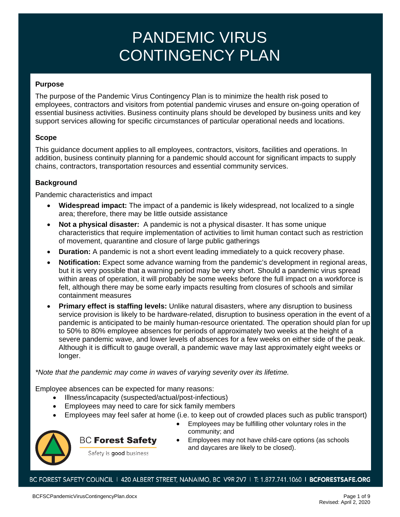#### **Purpose**

The purpose of the Pandemic Virus Contingency Plan is to minimize the health risk posed to employees, contractors and visitors from potential pandemic viruses and ensure on-going operation of essential business activities. Business continuity plans should be developed by business units and key support services allowing for specific circumstances of particular operational needs and locations.

#### **Scope**

This guidance document applies to all employees, contractors, visitors, facilities and operations. In addition, business continuity planning for a pandemic should account for significant impacts to supply chains, contractors, transportation resources and essential community services.

#### **Background**

Pandemic characteristics and impact

- **Widespread impact:** The impact of a pandemic is likely widespread, not localized to a single area; therefore, there may be little outside assistance
- **Not a physical disaster:** A pandemic is not a physical disaster. It has some unique characteristics that require implementation of activities to limit human contact such as restriction of movement, quarantine and closure of large public gatherings
- **Duration:** A pandemic is not a short event leading immediately to a quick recovery phase.
- **Notification:** Expect some advance warning from the pandemic's development in regional areas, but it is very possible that a warning period may be very short. Should a pandemic virus spread within areas of operation, it will probably be some weeks before the full impact on a workforce is felt, although there may be some early impacts resulting from closures of schools and similar containment measures
- **Primary effect is staffing levels:** Unlike natural disasters, where any disruption to business service provision is likely to be hardware-related, disruption to business operation in the event of a pandemic is anticipated to be mainly human-resource orientated. The operation should plan for up to 50% to 80% employee absences for periods of approximately two weeks at the height of a severe pandemic wave, and lower levels of absences for a few weeks on either side of the peak. Although it is difficult to gauge overall, a pandemic wave may last approximately eight weeks or longer.

*\*Note that the pandemic may come in waves of varying severity over its lifetime.*

Employee absences can be expected for many reasons:

- Illness/incapacity (suspected/actual/post-infectious)
- Employees may need to care for sick family members
- Employees may feel safer at home (i.e. to keep out of crowded places such as public transport)



### **BC Forest Safety**

- Employees may be fulfilling other voluntary roles in the community; and
- Employees may not have child-care options (as schools and daycares are likely to be closed).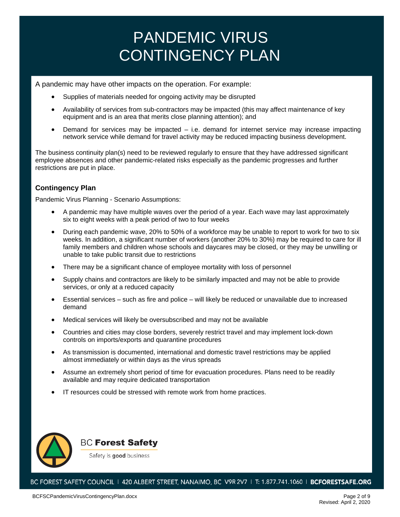A pandemic may have other impacts on the operation. For example:

- Supplies of materials needed for ongoing activity may be disrupted
- Availability of services from sub-contractors may be impacted (this may affect maintenance of key equipment and is an area that merits close planning attention); and
- Demand for services may be impacted i.e. demand for internet service may increase impacting network service while demand for travel activity may be reduced impacting business development.

The business continuity plan(s) need to be reviewed regularly to ensure that they have addressed significant employee absences and other pandemic-related risks especially as the pandemic progresses and further restrictions are put in place.

#### **Contingency Plan**

Pandemic Virus Planning - Scenario Assumptions:

- A pandemic may have multiple waves over the period of a year. Each wave may last approximately six to eight weeks with a peak period of two to four weeks
- During each pandemic wave, 20% to 50% of a workforce may be unable to report to work for two to six weeks. In addition, a significant number of workers (another 20% to 30%) may be required to care for ill family members and children whose schools and daycares may be closed, or they may be unwilling or unable to take public transit due to restrictions
- There may be a significant chance of employee mortality with loss of personnel
- Supply chains and contractors are likely to be similarly impacted and may not be able to provide services, or only at a reduced capacity
- Essential services such as fire and police will likely be reduced or unavailable due to increased demand
- Medical services will likely be oversubscribed and may not be available
- Countries and cities may close borders, severely restrict travel and may implement lock-down controls on imports/exports and quarantine procedures
- As transmission is documented, international and domestic travel restrictions may be applied almost immediately or within days as the virus spreads
- Assume an extremely short period of time for evacuation procedures. Plans need to be readily available and may require dedicated transportation
- IT resources could be stressed with remote work from home practices.

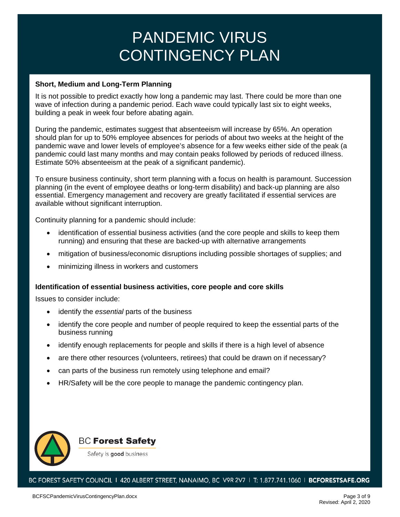#### **Short, Medium and Long-Term Planning**

It is not possible to predict exactly how long a pandemic may last. There could be more than one wave of infection during a pandemic period. Each wave could typically last six to eight weeks, building a peak in week four before abating again.

During the pandemic, estimates suggest that absenteeism will increase by 65%. An operation should plan for up to 50% employee absences for periods of about two weeks at the height of the pandemic wave and lower levels of employee's absence for a few weeks either side of the peak (a pandemic could last many months and may contain peaks followed by periods of reduced illness. Estimate 50% absenteeism at the peak of a significant pandemic).

To ensure business continuity, short term planning with a focus on health is paramount. Succession planning (in the event of employee deaths or long-term disability) and back-up planning are also essential. Emergency management and recovery are greatly facilitated if essential services are available without significant interruption.

Continuity planning for a pandemic should include:

- identification of essential business activities (and the core people and skills to keep them running) and ensuring that these are backed-up with alternative arrangements
- mitigation of business/economic disruptions including possible shortages of supplies; and
- minimizing illness in workers and customers

#### **Identification of essential business activities, core people and core skills**

Issues to consider include:

- identify the *essential* parts of the business
- identify the core people and number of people required to keep the essential parts of the business running
- identify enough replacements for people and skills if there is a high level of absence
- are there other resources (volunteers, retirees) that could be drawn on if necessary?
- can parts of the business run remotely using telephone and email?
- HR/Safety will be the core people to manage the pandemic contingency plan.

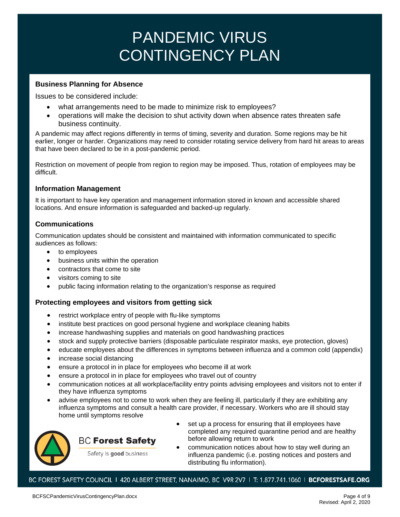#### **Business Planning for Absence**

Issues to be considered include:

- what arrangements need to be made to minimize risk to employees?
- operations will make the decision to shut activity down when absence rates threaten safe business continuity.

A pandemic may affect regions differently in terms of timing, severity and duration. Some regions may be hit earlier, longer or harder. Organizations may need to consider rotating service delivery from hard hit areas to areas that have been declared to be in a post-pandemic period.

Restriction on movement of people from region to region may be imposed. Thus, rotation of employees may be difficult.

#### **Information Management**

It is important to have key operation and management information stored in known and accessible shared locations. And ensure information is safeguarded and backed-up regularly.

#### **Communications**

Communication updates should be consistent and maintained with information communicated to specific audiences as follows:

- to employees
- business units within the operation
- contractors that come to site
- visitors coming to site
- public facing information relating to the organization's response as required

#### **Protecting employees and visitors from getting sick**

- restrict workplace entry of people with flu-like symptoms
- institute best practices on good personal hygiene and workplace cleaning habits
- increase handwashing supplies and materials on good handwashing practices
- stock and supply protective barriers (disposable particulate respirator masks, eye protection, gloves)
- educate employees about the differences in symptoms between influenza and a common cold (appendix)
- increase social distancing
- ensure a protocol in in place for employees who become ill at work
- ensure a protocol in in place for employees who travel out of country
- communication notices at all workplace/facility entry points advising employees and visitors not to enter if they have influenza symptoms
- advise employees not to come to work when they are feeling ill, particularly if they are exhibiting any influenza symptoms and consult a health care provider, if necessary. Workers who are ill should stay home until symptoms resolve



### **BC Forest Safety**

- set up a process for ensuring that ill employees have completed any required quarantine period and are healthy before allowing return to work
- Safety is good business
- communication notices about how to stay well during an influenza pandemic (i.e. posting notices and posters and distributing flu information).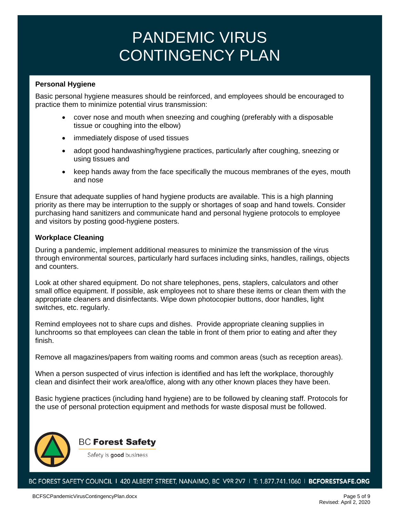#### **Personal Hygiene**

Basic personal hygiene measures should be reinforced, and employees should be encouraged to practice them to minimize potential virus transmission:

- cover nose and mouth when sneezing and coughing (preferably with a disposable tissue or coughing into the elbow)
- immediately dispose of used tissues
- adopt good handwashing/hygiene practices, particularly after coughing, sneezing or using tissues and
- keep hands away from the face specifically the mucous membranes of the eyes, mouth and nose

Ensure that adequate supplies of hand hygiene products are available. This is a high planning priority as there may be interruption to the supply or shortages of soap and hand towels. Consider purchasing hand sanitizers and communicate hand and personal hygiene protocols to employee and visitors by posting good-hygiene posters.

#### **Workplace Cleaning**

During a pandemic, implement additional measures to minimize the transmission of the virus through environmental sources, particularly hard surfaces including sinks, handles, railings, objects and counters.

Look at other shared equipment. Do not share telephones, pens, staplers, calculators and other small office equipment. If possible, ask employees not to share these items or clean them with the appropriate cleaners and disinfectants. Wipe down photocopier buttons, door handles, light switches, etc. regularly.

Remind employees not to share cups and dishes. Provide appropriate cleaning supplies in lunchrooms so that employees can clean the table in front of them prior to eating and after they finish.

Remove all magazines/papers from waiting rooms and common areas (such as reception areas).

When a person suspected of virus infection is identified and has left the workplace, thoroughly clean and disinfect their work area/office, along with any other known places they have been.

Basic hygiene practices (including hand hygiene) are to be followed by cleaning staff. Protocols for the use of personal protection equipment and methods for waste disposal must be followed.



### **BC Forest Safety**

Safety is good business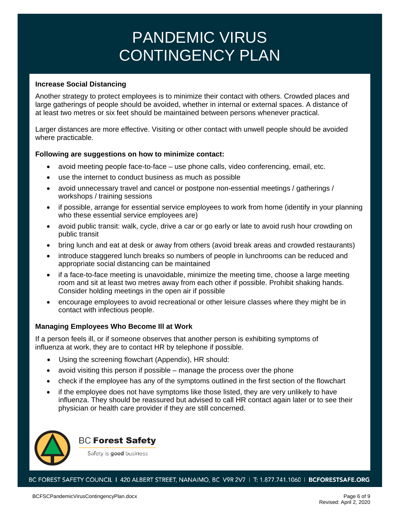#### **Increase Social Distancing**

Another strategy to protect employees is to minimize their contact with others. Crowded places and large gatherings of people should be avoided, whether in internal or external spaces. A distance of at least two metres or six feet should be maintained between persons whenever practical.

Larger distances are more effective. Visiting or other contact with unwell people should be avoided where practicable.

#### **Following are suggestions on how to minimize contact:**

- avoid meeting people face-to-face use phone calls, video conferencing, email, etc.
- use the internet to conduct business as much as possible
- avoid unnecessary travel and cancel or postpone non-essential meetings / gatherings / workshops / training sessions
- if possible, arrange for essential service employees to work from home (identify in your planning who these essential service employees are)
- avoid public transit: walk, cycle, drive a car or go early or late to avoid rush hour crowding on public transit
- bring lunch and eat at desk or away from others (avoid break areas and crowded restaurants)
- introduce staggered lunch breaks so numbers of people in lunchrooms can be reduced and appropriate social distancing can be maintained
- if a face-to-face meeting is unavoidable, minimize the meeting time, choose a large meeting room and sit at least two metres away from each other if possible. Prohibit shaking hands. Consider holding meetings in the open air if possible
- encourage employees to avoid recreational or other leisure classes where they might be in contact with infectious people.

#### **Managing Employees Who Become Ill at Work**

If a person feels ill, or if someone observes that another person is exhibiting symptoms of influenza at work, they are to contact HR by telephone if possible.

- Using the screening flowchart (Appendix), HR should:
- avoid visiting this person if possible manage the process over the phone
- check if the employee has any of the symptoms outlined in the first section of the flowchart
- if the employee does not have symptoms like those listed, they are very unlikely to have influenza. They should be reassured but advised to call HR contact again later or to see their physician or health care provider if they are still concerned.



### **BC Forest Safety**

Safety is good business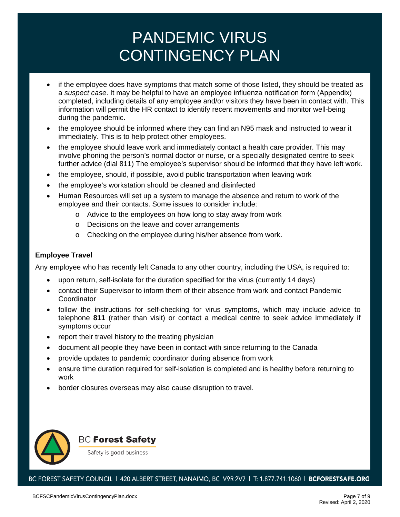- if the employee does have symptoms that match some of those listed, they should be treated as a *suspect case*. It may be helpful to have an employee influenza notification form (Appendix) completed, including details of any employee and/or visitors they have been in contact with. This information will permit the HR contact to identify recent movements and monitor well-being during the pandemic.
- the employee should be informed where they can find an N95 mask and instructed to wear it immediately. This is to help protect other employees.
- the employee should leave work and immediately contact a health care provider. This may involve phoning the person's normal doctor or nurse, or a specially designated centre to seek further advice (dial 811) The employee's supervisor should be informed that they have left work.
- the employee, should, if possible, avoid public transportation when leaving work
- the employee's workstation should be cleaned and disinfected
- Human Resources will set up a system to manage the absence and return to work of the employee and their contacts. Some issues to consider include:
	- o Advice to the employees on how long to stay away from work
	- o Decisions on the leave and cover arrangements
	- o Checking on the employee during his/her absence from work.

#### **Employee Travel**

Any employee who has recently left Canada to any other country, including the USA, is required to:

- upon return, self-isolate for the duration specified for the virus (currently 14 days)
- contact their Supervisor to inform them of their absence from work and contact Pandemic Coordinator
- follow the instructions for self-checking for virus symptoms, which may include advice to telephone **811** (rather than visit) or contact a medical centre to seek advice immediately if symptoms occur
- report their travel history to the treating physician
- document all people they have been in contact with since returning to the Canada
- provide updates to pandemic coordinator during absence from work
- ensure time duration required for self-isolation is completed and is healthy before returning to work
- border closures overseas may also cause disruption to travel.



**BC Forest Safety** 

Safety is good business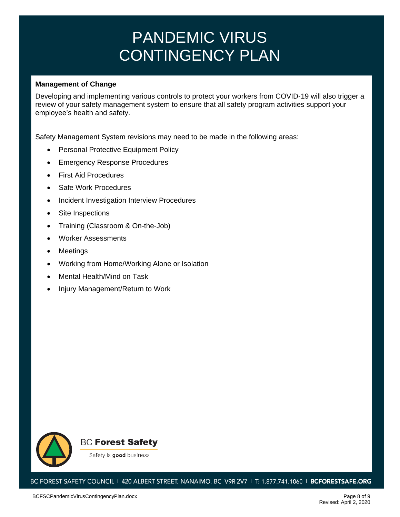#### **Management of Change**

Developing and implementing various controls to protect your workers from COVID-19 will also trigger a review of your safety management system to ensure that all safety program activities support your employee's health and safety.

Safety Management System revisions may need to be made in the following areas:

- Personal Protective Equipment Policy
- Emergency Response Procedures
- First Aid Procedures
- Safe Work Procedures
- Incident Investigation Interview Procedures
- Site Inspections
- Training (Classroom & On-the-Job)
- Worker Assessments
- **Meetings**
- Working from Home/Working Alone or Isolation
- Mental Health/Mind on Task
- Injury Management/Return to Work